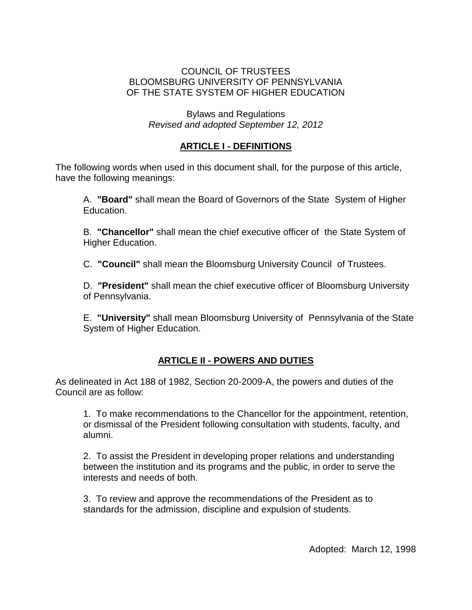#### COUNCIL OF TRUSTEES BLOOMSBURG UNIVERSITY OF PENNSYLVANIA OF THE STATE SYSTEM OF HIGHER EDUCATION

Bylaws and Regulations *Revised and adopted September 12, 2012*

### **ARTICLE I - DEFINITIONS**

The following words when used in this document shall, for the purpose of this article, have the following meanings:

A. **"Board"** shall mean the Board of Governors of the State System of Higher Education.

B. **"Chancellor"** shall mean the chief executive officer of the State System of Higher Education.

C. **"Council"** shall mean the Bloomsburg University Council of Trustees.

D. **"President"** shall mean the chief executive officer of Bloomsburg University of Pennsylvania.

E. **"University"** shall mean Bloomsburg University of Pennsylvania of the State System of Higher Education.

## **ARTICLE II - POWERS AND DUTIES**

As delineated in Act 188 of 1982, Section 20-2009-A, the powers and duties of the Council are as follow:

1. To make recommendations to the Chancellor for the appointment, retention, or dismissal of the President following consultation with students, faculty, and alumni.

2. To assist the President in developing proper relations and understanding between the institution and its programs and the public, in order to serve the interests and needs of both.

3. To review and approve the recommendations of the President as to standards for the admission, discipline and expulsion of students.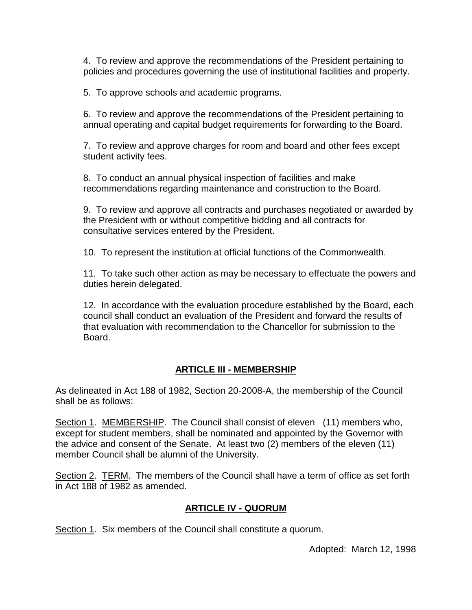4. To review and approve the recommendations of the President pertaining to policies and procedures governing the use of institutional facilities and property.

5. To approve schools and academic programs.

6. To review and approve the recommendations of the President pertaining to annual operating and capital budget requirements for forwarding to the Board.

7. To review and approve charges for room and board and other fees except student activity fees.

8. To conduct an annual physical inspection of facilities and make recommendations regarding maintenance and construction to the Board.

9. To review and approve all contracts and purchases negotiated or awarded by the President with or without competitive bidding and all contracts for consultative services entered by the President.

10. To represent the institution at official functions of the Commonwealth.

11. To take such other action as may be necessary to effectuate the powers and duties herein delegated.

12. In accordance with the evaluation procedure established by the Board, each council shall conduct an evaluation of the President and forward the results of that evaluation with recommendation to the Chancellor for submission to the Board.

#### **ARTICLE III - MEMBERSHIP**

As delineated in Act 188 of 1982, Section 20-2008-A, the membership of the Council shall be as follows:

Section 1. MEMBERSHIP. The Council shall consist of eleven (11) members who, except for student members, shall be nominated and appointed by the Governor with the advice and consent of the Senate. At least two (2) members of the eleven (11) member Council shall be alumni of the University.

Section 2. TERM. The members of the Council shall have a term of office as set forth in Act 188 of 1982 as amended.

#### **ARTICLE IV - QUORUM**

Section 1. Six members of the Council shall constitute a quorum.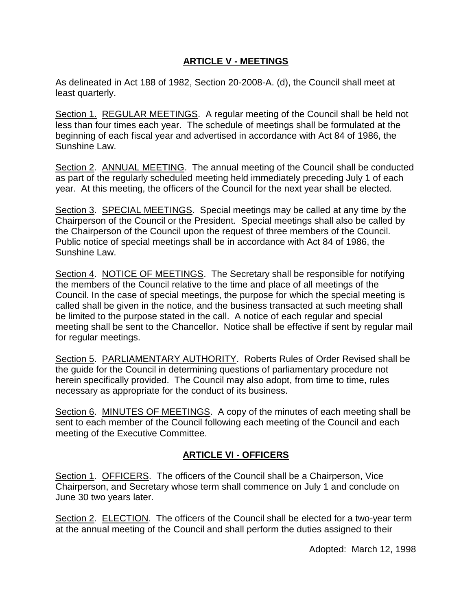### **ARTICLE V - MEETINGS**

As delineated in Act 188 of 1982, Section 20-2008-A. (d), the Council shall meet at least quarterly.

Section 1. REGULAR MEETINGS. A regular meeting of the Council shall be held not less than four times each year. The schedule of meetings shall be formulated at the beginning of each fiscal year and advertised in accordance with Act 84 of 1986, the Sunshine Law.

Section 2. ANNUAL MEETING. The annual meeting of the Council shall be conducted as part of the regularly scheduled meeting held immediately preceding July 1 of each year. At this meeting, the officers of the Council for the next year shall be elected.

Section 3. SPECIAL MEETINGS. Special meetings may be called at any time by the Chairperson of the Council or the President. Special meetings shall also be called by the Chairperson of the Council upon the request of three members of the Council. Public notice of special meetings shall be in accordance with Act 84 of 1986, the Sunshine Law.

Section 4. NOTICE OF MEETINGS. The Secretary shall be responsible for notifying the members of the Council relative to the time and place of all meetings of the Council. In the case of special meetings, the purpose for which the special meeting is called shall be given in the notice, and the business transacted at such meeting shall be limited to the purpose stated in the call. A notice of each regular and special meeting shall be sent to the Chancellor. Notice shall be effective if sent by regular mail for regular meetings.

Section 5. PARLIAMENTARY AUTHORITY. Roberts Rules of Order Revised shall be the guide for the Council in determining questions of parliamentary procedure not herein specifically provided. The Council may also adopt, from time to time, rules necessary as appropriate for the conduct of its business.

Section 6. MINUTES OF MEETINGS. A copy of the minutes of each meeting shall be sent to each member of the Council following each meeting of the Council and each meeting of the Executive Committee.

## **ARTICLE VI - OFFICERS**

Section 1. OFFICERS. The officers of the Council shall be a Chairperson, Vice Chairperson, and Secretary whose term shall commence on July 1 and conclude on June 30 two years later.

Section 2. ELECTION. The officers of the Council shall be elected for a two-year term at the annual meeting of the Council and shall perform the duties assigned to their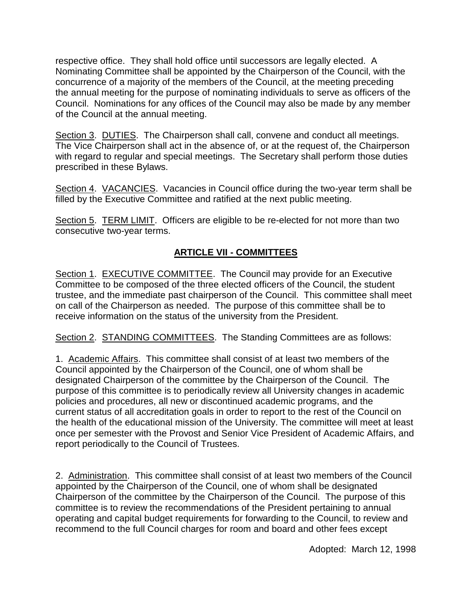respective office. They shall hold office until successors are legally elected. A Nominating Committee shall be appointed by the Chairperson of the Council, with the concurrence of a majority of the members of the Council, at the meeting preceding the annual meeting for the purpose of nominating individuals to serve as officers of the Council. Nominations for any offices of the Council may also be made by any member of the Council at the annual meeting.

Section 3. DUTIES. The Chairperson shall call, convene and conduct all meetings. The Vice Chairperson shall act in the absence of, or at the request of, the Chairperson with regard to regular and special meetings. The Secretary shall perform those duties prescribed in these Bylaws.

Section 4. VACANCIES. Vacancies in Council office during the two-year term shall be filled by the Executive Committee and ratified at the next public meeting.

Section 5. TERM LIMIT. Officers are eligible to be re-elected for not more than two consecutive two-year terms.

# **ARTICLE VII - COMMITTEES**

Section 1. EXECUTIVE COMMITTEE. The Council may provide for an Executive Committee to be composed of the three elected officers of the Council, the student trustee, and the immediate past chairperson of the Council. This committee shall meet on call of the Chairperson as needed. The purpose of this committee shall be to receive information on the status of the university from the President.

Section 2. STANDING COMMITTEES. The Standing Committees are as follows:

1. Academic Affairs. This committee shall consist of at least two members of the Council appointed by the Chairperson of the Council, one of whom shall be designated Chairperson of the committee by the Chairperson of the Council. The purpose of this committee is to periodically review all University changes in academic policies and procedures, all new or discontinued academic programs, and the current status of all accreditation goals in order to report to the rest of the Council on the health of the educational mission of the University. The committee will meet at least once per semester with the Provost and Senior Vice President of Academic Affairs, and report periodically to the Council of Trustees.

2. Administration. This committee shall consist of at least two members of the Council appointed by the Chairperson of the Council, one of whom shall be designated Chairperson of the committee by the Chairperson of the Council. The purpose of this committee is to review the recommendations of the President pertaining to annual operating and capital budget requirements for forwarding to the Council, to review and recommend to the full Council charges for room and board and other fees except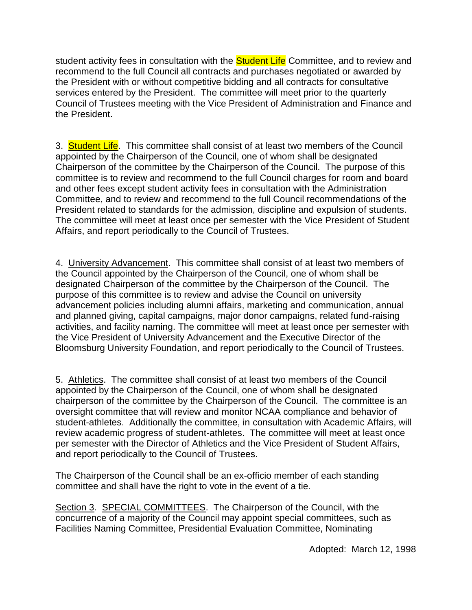student activity fees in consultation with the **Student Life** Committee, and to review and recommend to the full Council all contracts and purchases negotiated or awarded by the President with or without competitive bidding and all contracts for consultative services entered by the President. The committee will meet prior to the quarterly Council of Trustees meeting with the Vice President of Administration and Finance and the President.

3. **Student Life**. This committee shall consist of at least two members of the Council appointed by the Chairperson of the Council, one of whom shall be designated Chairperson of the committee by the Chairperson of the Council. The purpose of this committee is to review and recommend to the full Council charges for room and board and other fees except student activity fees in consultation with the Administration Committee, and to review and recommend to the full Council recommendations of the President related to standards for the admission, discipline and expulsion of students. The committee will meet at least once per semester with the Vice President of Student Affairs, and report periodically to the Council of Trustees.

4. University Advancement. This committee shall consist of at least two members of the Council appointed by the Chairperson of the Council, one of whom shall be designated Chairperson of the committee by the Chairperson of the Council. The purpose of this committee is to review and advise the Council on university advancement policies including alumni affairs, marketing and communication, annual and planned giving, capital campaigns, major donor campaigns, related fund-raising activities, and facility naming. The committee will meet at least once per semester with the Vice President of University Advancement and the Executive Director of the Bloomsburg University Foundation, and report periodically to the Council of Trustees.

5. Athletics. The committee shall consist of at least two members of the Council appointed by the Chairperson of the Council, one of whom shall be designated chairperson of the committee by the Chairperson of the Council. The committee is an oversight committee that will review and monitor NCAA compliance and behavior of student-athletes. Additionally the committee, in consultation with Academic Affairs, will review academic progress of student-athletes. The committee will meet at least once per semester with the Director of Athletics and the Vice President of Student Affairs, and report periodically to the Council of Trustees.

The Chairperson of the Council shall be an ex-officio member of each standing committee and shall have the right to vote in the event of a tie.

Section 3. SPECIAL COMMITTEES. The Chairperson of the Council, with the concurrence of a majority of the Council may appoint special committees, such as Facilities Naming Committee, Presidential Evaluation Committee, Nominating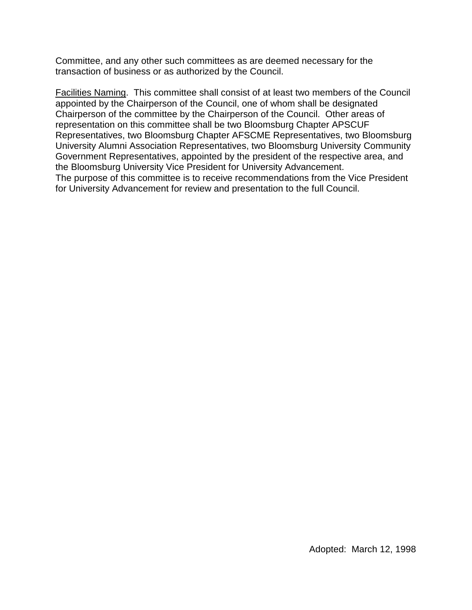Committee, and any other such committees as are deemed necessary for the transaction of business or as authorized by the Council.

Facilities Naming. This committee shall consist of at least two members of the Council appointed by the Chairperson of the Council, one of whom shall be designated Chairperson of the committee by the Chairperson of the Council. Other areas of representation on this committee shall be two Bloomsburg Chapter APSCUF Representatives, two Bloomsburg Chapter AFSCME Representatives, two Bloomsburg University Alumni Association Representatives, two Bloomsburg University Community Government Representatives, appointed by the president of the respective area, and the Bloomsburg University Vice President for University Advancement. The purpose of this committee is to receive recommendations from the Vice President for University Advancement for review and presentation to the full Council.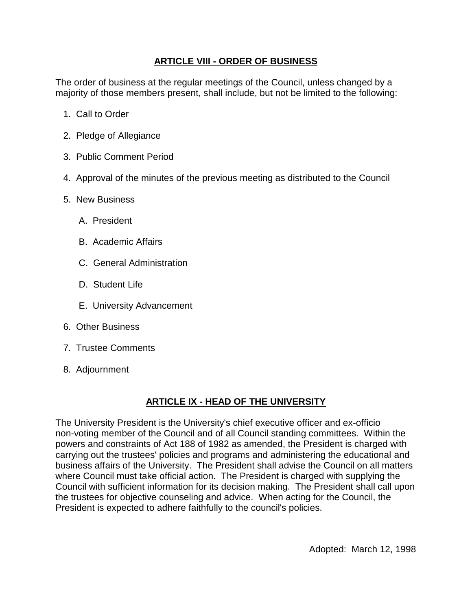### **ARTICLE VIII - ORDER OF BUSINESS**

The order of business at the regular meetings of the Council, unless changed by a majority of those members present, shall include, but not be limited to the following:

- 1. Call to Order
- 2. Pledge of Allegiance
- 3. Public Comment Period
- 4. Approval of the minutes of the previous meeting as distributed to the Council
- 5. New Business
	- A. President
	- B. Academic Affairs
	- C. General Administration
	- D. Student Life
	- E. University Advancement
- 6. Other Business
- 7. Trustee Comments
- 8. Adjournment

## **ARTICLE IX - HEAD OF THE UNIVERSITY**

The University President is the University's chief executive officer and ex-officio non-voting member of the Council and of all Council standing committees. Within the powers and constraints of Act 188 of 1982 as amended, the President is charged with carrying out the trustees' policies and programs and administering the educational and business affairs of the University. The President shall advise the Council on all matters where Council must take official action. The President is charged with supplying the Council with sufficient information for its decision making. The President shall call upon the trustees for objective counseling and advice. When acting for the Council, the President is expected to adhere faithfully to the council's policies.